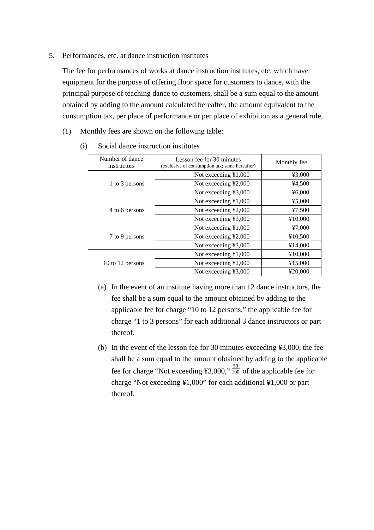5. Performances, etc. at dance instruction institutes

The fee for performances of works at dance instruction institutes, etc. which have equipment for the purpose of offering floor space for customers to dance, with the principal purpose of teaching dance to customers, shall be a sum equal to the amount obtained by adding to the amount calculated hereafter, the amount equivalent to the consumption tax, per place of performance or per place of exhibition as a general rule,.

(1) Monthly fees are shown on the following table:

| Number of dance<br>instructors | Lesson fee for 30 minutes<br>(exclusive of consumption tax; same hereafter) | Monthly fee |
|--------------------------------|-----------------------------------------------------------------------------|-------------|
| 1 to 3 persons                 | Not exceeding ¥1,000                                                        | ¥3,000      |
|                                | Not exceeding ¥2,000                                                        | 44,500      |
|                                | Not exceeding ¥3,000                                                        | ¥6,000      |
| 4 to 6 persons                 | Not exceeding ¥1,000                                                        | 45,000      |
|                                | Not exceeding ¥2,000                                                        | 47,500      |
|                                | Not exceeding ¥3,000                                                        | ¥10,000     |
| 7 to 9 persons                 | Not exceeding ¥1,000                                                        | 47,000      |
|                                | Not exceeding ¥2,000                                                        | ¥10,500     |
|                                | Not exceeding ¥3,000                                                        | ¥14,000     |
| 10 to 12 persons               | Not exceeding ¥1,000                                                        | ¥10,000     |
|                                | Not exceeding ¥2,000                                                        | ¥15,000     |
|                                | Not exceeding ¥3,000                                                        | ¥20.000     |

(i) Social dance instruction institutes

- (a) In the event of an institute having more than 12 dance instructors, the fee shall be a sum equal to the amount obtained by adding to the applicable fee for charge "10 to 12 persons," the applicable fee for charge "1 to 3 persons" for each additional 3 dance instructors or part thereof.
- (b) In the event of the lesson fee for 30 minutes exceeding ¥3,000, the fee shall be a sum equal to the amount obtained by adding to the applicable fee for charge "Not exceeding ¥3,000,"  $\frac{50}{100}$  of the applicable fee for charge "Not exceeding ¥1,000" for each additional ¥1,000 or part thereof.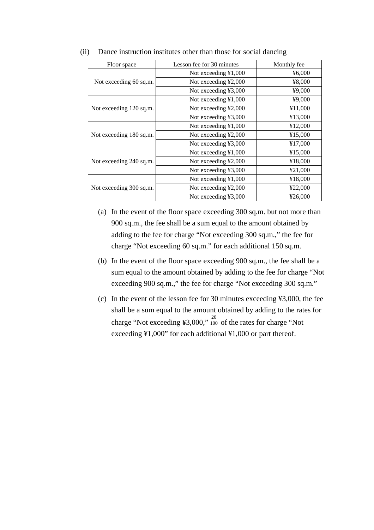| Floor space             | Lesson fee for 30 minutes      | Monthly fee |  |
|-------------------------|--------------------------------|-------------|--|
|                         | Not exceeding $\text{\&}1,000$ | 46,000      |  |
| Not exceeding 60 sq.m.  | Not exceeding ¥2,000           | ¥8,000      |  |
|                         | Not exceeding ¥3,000           | ¥9,000      |  |
| Not exceeding 120 sq.m. | Not exceeding ¥1,000           | ¥9,000      |  |
|                         | Not exceeding ¥2,000           | ¥11,000     |  |
|                         | Not exceeding ¥3,000           | ¥13,000     |  |
| Not exceeding 180 sq.m. | Not exceeding $\text{\&}1,000$ | ¥12,000     |  |
|                         | Not exceeding ¥2,000           | ¥15,000     |  |
|                         | Not exceeding ¥3,000           | ¥17,000     |  |
|                         | Not exceeding ¥1,000           | ¥15,000     |  |
| Not exceeding 240 sq.m. | Not exceeding ¥2,000           | ¥18,000     |  |
|                         | Not exceeding ¥3,000           | ¥21,000     |  |
|                         | Not exceeding ¥1,000           | ¥18,000     |  |
| Not exceeding 300 sq.m. | Not exceeding ¥2,000           | ¥22,000     |  |
|                         | Not exceeding ¥3,000           | ¥26,000     |  |

(ii) Dance instruction institutes other than those for social dancing

- (a) In the event of the floor space exceeding 300 sq.m. but not more than 900 sq.m., the fee shall be a sum equal to the amount obtained by adding to the fee for charge "Not exceeding 300 sq.m.," the fee for charge "Not exceeding 60 sq.m." for each additional 150 sq.m.
- (b) In the event of the floor space exceeding 900 sq.m., the fee shall be a sum equal to the amount obtained by adding to the fee for charge "Not exceeding 900 sq.m.," the fee for charge "Not exceeding 300 sq.m."
- (c) In the event of the lesson fee for 30 minutes exceeding ¥3,000, the fee shall be a sum equal to the amount obtained by adding to the rates for charge "Not exceeding ¥3,000,"  $\frac{20}{100}$  of the rates for charge "Not exceeding ¥1,000" for each additional ¥1,000 or part thereof.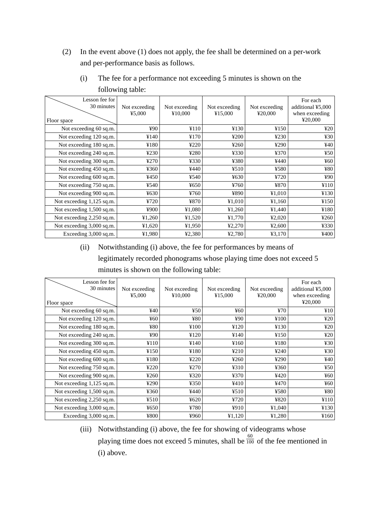(2) In the event above (1) does not apply, the fee shall be determined on a per-work and per-performance basis as follows.

| Lesson fee for<br>30 minutes<br>Floor space | Not exceeding<br>45,000 | Not exceeding<br>¥10,000 | Not exceeding<br>¥15,000 | Not exceeding<br>¥20,000 | For each<br>additional ¥5,000<br>when exceeding<br>¥20,000 |
|---------------------------------------------|-------------------------|--------------------------|--------------------------|--------------------------|------------------------------------------------------------|
| Not exceeding 60 sq.m.                      | ¥90                     | ¥110                     | ¥130                     | ¥150                     | 420                                                        |
| Not exceeding 120 sq.m.                     | ¥140                    | ¥170                     | 4200                     | 4230                     | ¥30                                                        |
| Not exceeding 180 sq.m.                     | ¥180                    | 4220                     | 4260                     | ¥290                     | ¥40                                                        |
| Not exceeding 240 sq.m.                     | 4230                    | ¥280                     | ¥330                     | ¥370                     | 450                                                        |
| Not exceeding 300 sq.m.                     | ¥270                    | ¥330                     | ¥380                     | ¥440                     | ¥60                                                        |
| Not exceeding 450 sq.m.                     | ¥360                    | ¥440                     | 4510                     | ¥580                     | ¥80                                                        |
| Not exceeding 600 sq.m.                     | ¥450                    | ¥540                     | 4630                     | ¥720                     | ¥90                                                        |
| Not exceeding 750 sq.m.                     | ¥540                    | ¥650                     | ¥760                     | ¥870                     | ¥110                                                       |
| Not exceeding 900 sq.m.                     | ¥630                    | ¥760                     | ¥890                     | ¥1,010                   | ¥130                                                       |
| Not exceeding 1,125 sq.m.                   | 4720                    | ¥870                     | ¥1,010                   | ¥1,160                   | ¥150                                                       |
| Not exceeding 1,500 sq.m.                   | ¥900                    | ¥1,080                   | ¥1,260                   | ¥1,440                   | ¥180                                                       |
| Not exceeding 2,250 sq.m.                   | ¥1,260                  | ¥1,520                   | ¥1,770                   | 42,020                   | ¥260                                                       |
| Not exceeding 3,000 sq.m.                   | ¥1,620                  | ¥1,950                   | 42,270                   | 42,600                   | ¥330                                                       |
| Exceeding 3,000 sq.m.                       | ¥1,980                  | ¥2,380                   | ¥2,780                   | 43,170                   | ¥400                                                       |

(i) The fee for a performance not exceeding 5 minutes is shown on the following table:

(ii) Notwithstanding (i) above, the fee for performances by means of legitimately recorded phonograms whose playing time does not exceed 5 minutes is shown on the following table:

| Lesson fee for<br>30 minutes<br>Floor space | Not exceeding<br>45,000 | Not exceeding<br>¥10,000 | Not exceeding<br>¥15,000 | Not exceeding<br>¥20,000 | For each<br>additional ¥5,000<br>when exceeding<br>¥20,000 |
|---------------------------------------------|-------------------------|--------------------------|--------------------------|--------------------------|------------------------------------------------------------|
| Not exceeding 60 sq.m.                      | ¥40                     | 450                      | ¥60                      | 470                      | ¥10                                                        |
| Not exceeding 120 sq.m.                     | $\frac{1}{2}60$         | ¥80                      | ¥90                      | ¥100                     | 420                                                        |
| Not exceeding 180 sq.m.                     | ¥80                     | ¥100                     | ¥120                     | ¥130                     | 420                                                        |
| Not exceeding 240 sq.m.                     | ¥90                     | ¥120                     | ¥140                     | ¥150                     | 420                                                        |
| Not exceeding 300 sq.m.                     | ¥110                    | ¥140                     | ¥160                     | ¥180                     | 430                                                        |
| Not exceeding 450 sq.m.                     | ¥150                    | ¥180                     | 4210                     | 4240                     | 430                                                        |
| Not exceeding 600 sq.m.                     | ¥180                    | 4220                     | 4260                     | 4290                     | 440                                                        |
| Not exceeding 750 sq.m.                     | 4220                    | 4270                     | 4310                     | ¥360                     | 450                                                        |
| Not exceeding 900 sq.m.                     | 4260                    | ¥320                     | ¥370                     | ¥420                     | 460                                                        |
| Not exceeding 1,125 sq.m.                   | ¥290                    | ¥350                     | ¥410                     | ¥470                     | 460                                                        |
| Not exceeding 1,500 sq.m.                   | 4360                    | ¥440                     | 4510                     | ¥580                     | ¥80                                                        |
| Not exceeding 2,250 sq.m.                   | 4510                    | ¥620                     | ¥720                     | ¥820                     | ¥110                                                       |
| Not exceeding 3,000 sq.m.                   | ¥650                    | ¥780                     | ¥910                     | ¥1,040                   | ¥130                                                       |
| Exceeding 3,000 sq.m.                       | ¥800                    | ¥960                     | ¥1,120                   | ¥1,280                   | ¥160                                                       |

(iii) Notwithstanding (i) above, the fee for showing of videograms whose playing time does not exceed 5 minutes, shall be  $\frac{60}{100}$  of the fee mentioned in (i) above.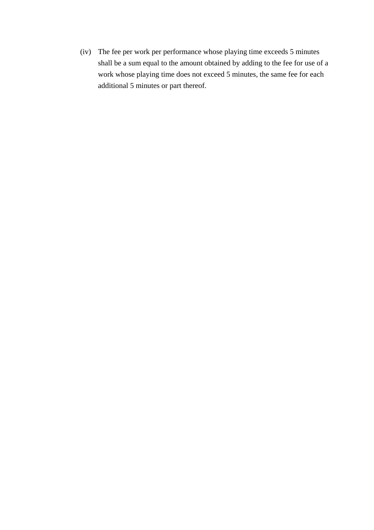(iv) The fee per work per performance whose playing time exceeds 5 minutes shall be a sum equal to the amount obtained by adding to the fee for use of a work whose playing time does not exceed 5 minutes, the same fee for each additional 5 minutes or part thereof.